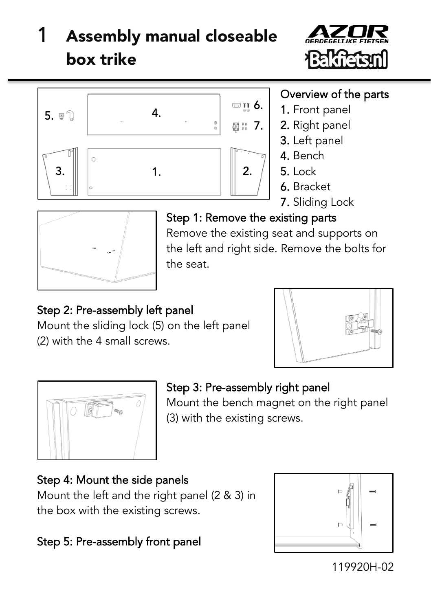# Assembly manual closeable box trike





#### Overview of the parts

- 1. Front panel
- 2. Right panel
- 3. Left panel
- 4. Bench
- 5. Lock
- 6. Bracket
- 7. Sliding Lock



### Step 1: Remove the existing parts

Remove the existing seat and supports on the left and right side. Remove the bolts for the seat.

## Step 2: Pre-assembly left panel

Mount the sliding lock (5) on the left panel (2) with the 4 small screws.





## Step 3: Pre-assembly right panel

Mount the bench magnet on the right panel (3) with the existing screws.

#### Step 4: Mount the side panels

Mount the left and the right panel (2 & 3) in the box with the existing screws.

#### Step 5: Pre-assembly front panel



119920H-02